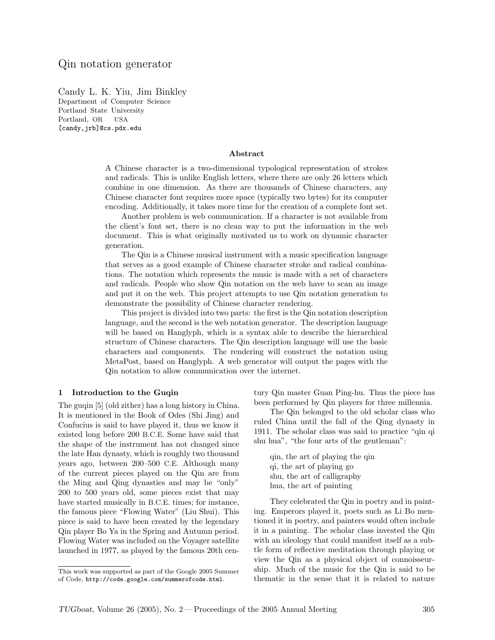Candy L. K. Yiu, Jim Binkley Department of Computer Science Portland State University Portland, OR USA [candy,jrb]@cs.pdx.edu

#### Abstract

A Chinese character is a two-dimensional typological representation of strokes and radicals. This is unlike English letters, where there are only 26 letters which combine in one dimension. As there are thousands of Chinese characters, any Chinese character font requires more space (typically two bytes) for its computer encoding. Additionally, it takes more time for the creation of a complete font set.

Another problem is web communication. If a character is not available from the client's font set, there is no clean way to put the information in the web document. This is what originally motivated us to work on dynamic character generation.

The Qin is a Chinese musical instrument with a music specification language that serves as a good example of Chinese character stroke and radical combinations. The notation which represents the music is made with a set of characters and radicals. People who show Qin notation on the web have to scan an image and put it on the web. This project attempts to use Qin notation generation to demonstrate the possibility of Chinese character rendering.

This project is divided into two parts: the first is the Qin notation description language, and the second is the web notation generator. The description language will be based on Hanglyph, which is a syntax able to describe the hierarchical structure of Chinese characters. The Qin description language will use the basic characters and components. The rendering will construct the notation using MetaPost, based on Hanglyph. A web generator will output the pages with the Qin notation to allow communication over the internet.

### 1 Introduction to the Guqin

The guqin [5] (old zither) has a long history in China. It is mentioned in the Book of Odes (Shi Jing) and Confucius is said to have played it, thus we know it existed long before 200 B.C.E. Some have said that the shape of the instrument has not changed since the late Han dynasty, which is roughly two thousand years ago, between 200–500 C.E. Although many of the current pieces played on the Qin are from the Ming and Qing dynasties and may be "only" 200 to 500 years old, some pieces exist that may have started musically in B.C.E. times; for instance, the famous piece "Flowing Water" (Liu Shui). This piece is said to have been created by the legendary Qin player Bo Ya in the Spring and Autumn period. Flowing Water was included on the Voyager satellite launched in 1977, as played by the famous 20th century Qin master Guan Ping-hu. Thus the piece has been performed by Qin players for three millennia.

The Qin belonged to the old scholar class who ruled China until the fall of the Qing dynasty in 1911. The scholar class was said to practice "qin qi shu hua", "the four arts of the gentleman":

qin, the art of playing the qin qi, the art of playing go shu, the art of calligraphy hua, the art of painting

They celebrated the Qin in poetry and in painting. Emperors played it, poets such as Li Bo mentioned it in poetry, and painters would often include it in a painting. The scholar class invested the Qin with an ideology that could manifest itself as a subtle form of reflective meditation through playing or view the Qin as a physical object of connoisseurship. Much of the music for the Qin is said to be thematic in the sense that it is related to nature

This work was supported as part of the Google 2005 Summer of Code, http://code.google.com/summerofcode.html.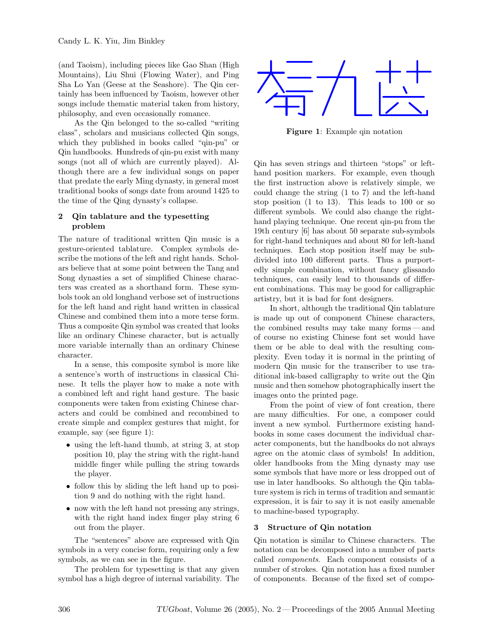(and Taoism), including pieces like Gao Shan (High Mountains), Liu Shui (Flowing Water), and Ping Sha Lo Yan (Geese at the Seashore). The Qin certainly has been influenced by Taoism, however other songs include thematic material taken from history, philosophy, and even occasionally romance.

As the Qin belonged to the so-called "writing class", scholars and musicians collected Qin songs, which they published in books called "qin-pu" or Qin handbooks. Hundreds of qin-pu exist with many songs (not all of which are currently played). Although there are a few individual songs on paper that predate the early Ming dynasty, in general most traditional books of songs date from around 1425 to the time of the Qing dynasty's collapse.

### 2 Qin tablature and the typesetting problem

The nature of traditional written Qin music is a gesture-oriented tablature. Complex symbols describe the motions of the left and right hands. Scholars believe that at some point between the Tang and Song dynasties a set of simplified Chinese characters was created as a shorthand form. These symbols took an old longhand verbose set of instructions for the left hand and right hand written in classical Chinese and combined them into a more terse form. Thus a composite Qin symbol was created that looks like an ordinary Chinese character, but is actually more variable internally than an ordinary Chinese character.

In a sense, this composite symbol is more like a sentence's worth of instructions in classical Chinese. It tells the player how to make a note with a combined left and right hand gesture. The basic components were taken from existing Chinese characters and could be combined and recombined to create simple and complex gestures that might, for example, say (see figure 1):

- using the left-hand thumb, at string 3, at stop position 10, play the string with the right-hand middle finger while pulling the string towards the player.
- follow this by sliding the left hand up to position 9 and do nothing with the right hand.
- now with the left hand not pressing any strings, with the right hand index finger play string 6 out from the player.

The "sentences" above are expressed with Qin symbols in a very concise form, requiring only a few symbols, as we can see in the figure.

The problem for typesetting is that any given symbol has a high degree of internal variability. The



Figure 1: Example qin notation

Qin has seven strings and thirteen "stops" or lefthand position markers. For example, even though the first instruction above is relatively simple, we could change the string (1 to 7) and the left-hand stop position (1 to 13). This leads to 100 or so different symbols. We could also change the righthand playing technique. One recent qin-pu from the 19th century [6] has about 50 separate sub-symbols for right-hand techniques and about 80 for left-hand techniques. Each stop position itself may be subdivided into 100 different parts. Thus a purportedly simple combination, without fancy glissando techniques, can easily lead to thousands of different combinations. This may be good for calligraphic artistry, but it is bad for font designers.

In short, although the traditional Qin tablature is made up out of component Chinese characters, the combined results may take many forms —and of course no existing Chinese font set would have them or be able to deal with the resulting complexity. Even today it is normal in the printing of modern Qin music for the transcriber to use traditional ink-based calligraphy to write out the Qin music and then somehow photographically insert the images onto the printed page.

From the point of view of font creation, there are many difficulties. For one, a composer could invent a new symbol. Furthermore existing handbooks in some cases document the individual character components, but the handbooks do not always agree on the atomic class of symbols! In addition, older handbooks from the Ming dynasty may use some symbols that have more or less dropped out of use in later handbooks. So although the Qin tablature system is rich in terms of tradition and semantic expression, it is fair to say it is not easily amenable to machine-based typography.

# 3 Structure of Qin notation

Qin notation is similar to Chinese characters. The notation can be decomposed into a number of parts called components. Each component consists of a number of strokes. Qin notation has a fixed number of components. Because of the fixed set of compo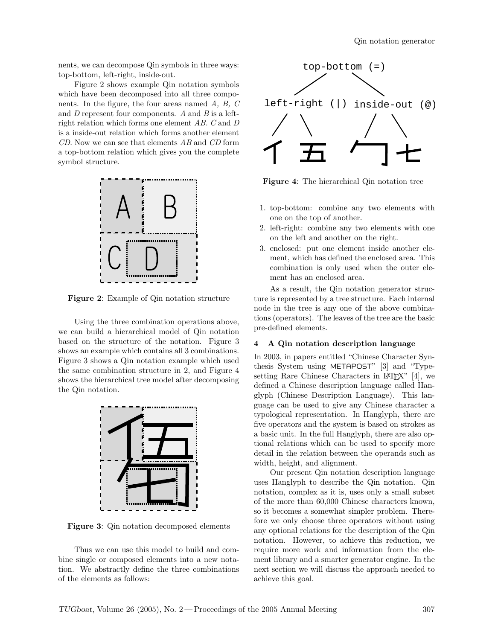nents, we can decompose Qin symbols in three ways: top-bottom, left-right, inside-out.

Figure 2 shows example Qin notation symbols which have been decomposed into all three components. In the figure, the four areas named  $A, B, C$ and  $D$  represent four components.  $A$  and  $B$  is a leftright relation which forms one element AB. C and D is a inside-out relation which forms another element CD. Now we can see that elements AB and CD form a top-bottom relation which gives you the complete symbol structure.



Figure 2: Example of Qin notation structure

Using the three combination operations above, we can build a hierarchical model of Qin notation based on the structure of the notation. Figure 3 shows an example which contains all 3 combinations. Figure 3 shows a Qin notation example which used the same combination structure in 2, and Figure 4 shows the hierarchical tree model after decomposing the Qin notation.



Figure 3: Qin notation decomposed elements

Thus we can use this model to build and combine single or composed elements into a new notation. We abstractly define the three combinations of the elements as follows:



Figure 4: The hierarchical Qin notation tree

- 1. top-bottom: combine any two elements with one on the top of another.
- 2. left-right: combine any two elements with one on the left and another on the right.
- 3. enclosed: put one element inside another element, which has defined the enclosed area. This combination is only used when the outer element has an enclosed area.

As a result, the Qin notation generator structure is represented by a tree structure. Each internal node in the tree is any one of the above combinations (operators). The leaves of the tree are the basic pre-defined elements.

### 4 A Qin notation description language

In 2003, in papers entitled "Chinese Character Synthesis System using METAPOST" [3] and "Typesetting Rare Chinese Characters in L<sup>AT</sup>EX<sup>"</sup> [4], we defined a Chinese description language called Hanglyph (Chinese Description Language). This language can be used to give any Chinese character a typological representation. In Hanglyph, there are five operators and the system is based on strokes as a basic unit. In the full Hanglyph, there are also optional relations which can be used to specify more detail in the relation between the operands such as width, height, and alignment.

Our present Qin notation description language uses Hanglyph to describe the Qin notation. Qin notation, complex as it is, uses only a small subset of the more than 60,000 Chinese characters known, so it becomes a somewhat simpler problem. Therefore we only choose three operators without using any optional relations for the description of the Qin notation. However, to achieve this reduction, we require more work and information from the element library and a smarter generator engine. In the next section we will discuss the approach needed to achieve this goal.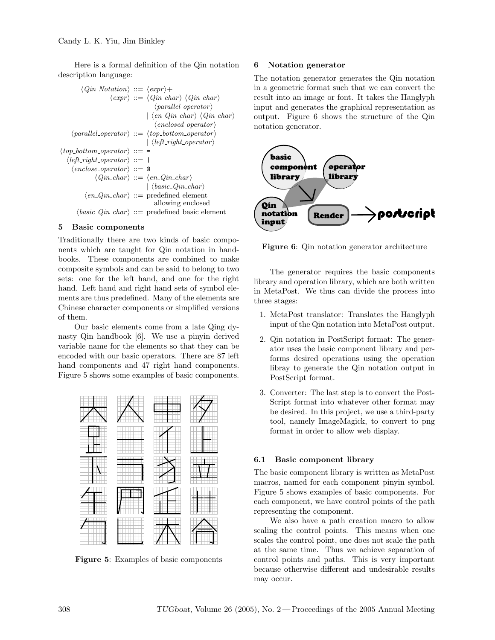Here is a formal definition of the Qin notation description language:

```
\langle Qin Notation \rangle ::= \langle expr \rangle +\langle expr \rangle ::= \langle Qin\_char \rangle \langle Qin\_char \rangle\langle parallel\ operator \rangle\langle en_Qin\_char \rangle \langle Qin\_char \rangle\langle enclosed\_operator\rangle\langle parallel\ operator \rangle ::= \langle top\_bottom\_\ operator \rangle\langle left\_right\_operator \rangle\langle top\_bottom\_operator \rangle ::=\langle left\_right\_operator \rangle ::=\langle enclose\_operator \rangle ::= \emptyset\langle Qin\_char \rangle ::= \langle en\_Qin\_char \rangle\langle basic\ Qin\ char\rangle\langle en\_Qin\_char \rangle ::= predefined element
                                        allowing enclosed
\langle basic\_Qin\_char \rangle ::= predefined basic element
```
# 5 Basic components

Traditionally there are two kinds of basic components which are taught for Qin notation in handbooks. These components are combined to make composite symbols and can be said to belong to two sets: one for the left hand, and one for the right hand. Left hand and right hand sets of symbol elements are thus predefined. Many of the elements are Chinese character components or simplified versions of them.

Our basic elements come from a late Qing dynasty Qin handbook [6]. We use a pinyin derived variable name for the elements so that they can be encoded with our basic operators. There are 87 left hand components and 47 right hand components. Figure 5 shows some examples of basic components.



Figure 5: Examples of basic components

### 6 Notation generator

The notation generator generates the Qin notation in a geometric format such that we can convert the result into an image or font. It takes the Hanglyph input and generates the graphical representation as output. Figure 6 shows the structure of the Qin notation generator.



Figure 6: Qin notation generator architecture

The generator requires the basic components library and operation library, which are both written in MetaPost. We thus can divide the process into three stages:

- 1. MetaPost translator: Translates the Hanglyph input of the Qin notation into MetaPost output.
- 2. Qin notation in PostScript format: The generator uses the basic component library and performs desired operations using the operation libray to generate the Qin notation output in PostScript format.
- 3. Converter: The last step is to convert the Post-Script format into whatever other format may be desired. In this project, we use a third-party tool, namely ImageMagick, to convert to png format in order to allow web display.

### 6.1 Basic component library

The basic component library is written as MetaPost macros, named for each component pinyin symbol. Figure 5 shows examples of basic components. For each component, we have control points of the path representing the component.

We also have a path creation macro to allow scaling the control points. This means when one scales the control point, one does not scale the path at the same time. Thus we achieve separation of control points and paths. This is very important because otherwise different and undesirable results may occur.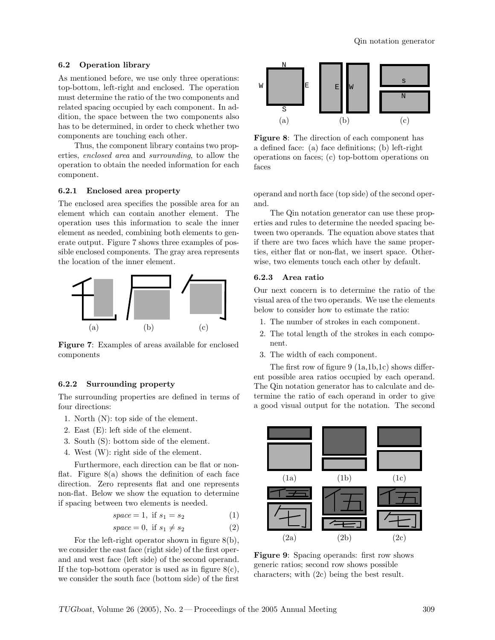#### 6.2 Operation library

As mentioned before, we use only three operations: top-bottom, left-right and enclosed. The operation must determine the ratio of the two components and related spacing occupied by each component. In addition, the space between the two components also has to be determined, in order to check whether two components are touching each other.

Thus, the component library contains two properties, enclosed area and surrounding, to allow the operation to obtain the needed information for each component.

### 6.2.1 Enclosed area property

The enclosed area specifies the possible area for an element which can contain another element. The operation uses this information to scale the inner element as needed, combining both elements to generate output. Figure 7 shows three examples of possible enclosed components. The gray area represents the location of the inner element.



Figure 7: Examples of areas available for enclosed components

### 6.2.2 Surrounding property

The surrounding properties are defined in terms of four directions:

- 1. North (N): top side of the element.
- 2. East (E): left side of the element.
- 3. South (S): bottom side of the element.
- 4. West (W): right side of the element.

Furthermore, each direction can be flat or nonflat. Figure  $8(a)$  shows the definition of each face direction. Zero represents flat and one represents non-flat. Below we show the equation to determine if spacing between two elements is needed.

$$
space = 1, if s_1 = s_2 \tag{1}
$$

$$
space = 0, if s_1 \neq s_2 \tag{2}
$$

For the left-right operator shown in figure 8(b), we consider the east face (right side) of the first operand and west face (left side) of the second operand. If the top-bottom operator is used as in figure  $8(c)$ , we consider the south face (bottom side) of the first



Figure 8: The direction of each component has a defined face: (a) face definitions; (b) left-right operations on faces; (c) top-bottom operations on faces

operand and north face (top side) of the second operand.

The Qin notation generator can use these properties and rules to determine the needed spacing between two operands. The equation above states that if there are two faces which have the same properties, either flat or non-flat, we insert space. Otherwise, two elements touch each other by default.

#### 6.2.3 Area ratio

Our next concern is to determine the ratio of the visual area of the two operands. We use the elements below to consider how to estimate the ratio:

- 1. The number of strokes in each component.
- 2. The total length of the strokes in each component.
- 3. The width of each component.

The first row of figure 9 (1a,1b,1c) shows different possible area ratios occupied by each operand. The Qin notation generator has to calculate and determine the ratio of each operand in order to give a good visual output for the notation. The second



Figure 9: Spacing operands: first row shows generic ratios; second row shows possible characters; with (2c) being the best result.